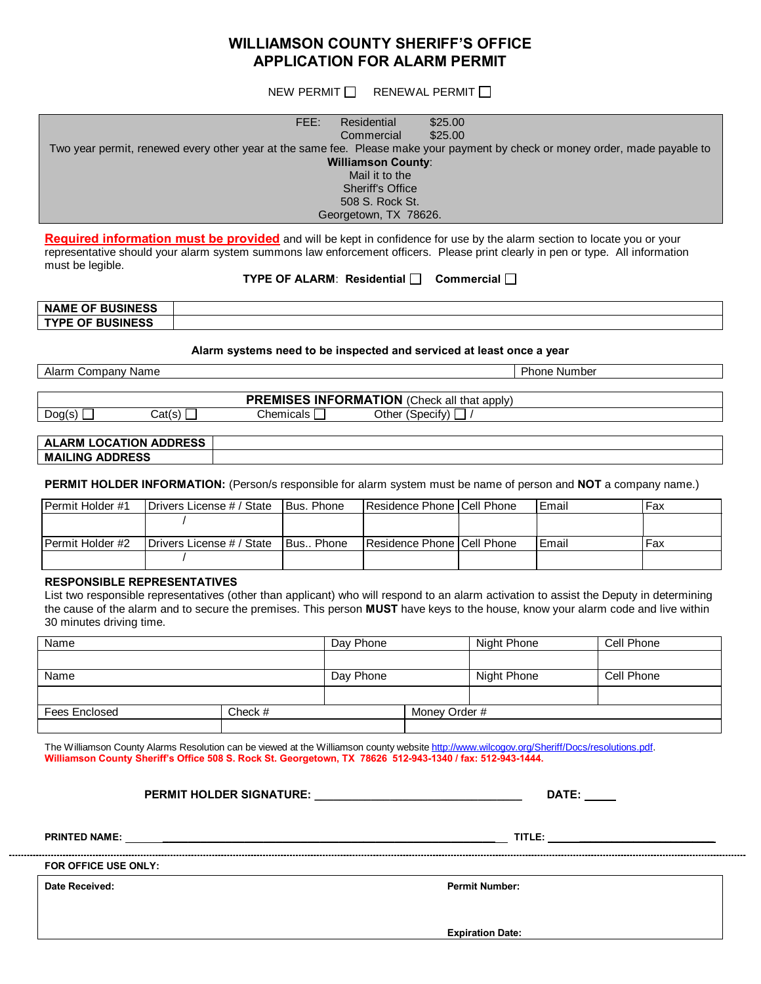## **WILLIAMSON COUNTY SHERIFF'S OFFICE APPLICATION FOR ALARM PERMIT**

NEW PERMIT  $\Box$  RENEWAL PERMIT  $\Box$ 

| FFE:<br>\$25.00<br>Residential<br>\$25.00<br>Commercial<br>Two year permit, renewed every other year at the same fee. Please make your payment by check or money order, made payable to<br><b>Williamson County:</b><br>Mail it to the<br><b>Sheriff's Office</b><br>508 S. Rock St.<br>Georgetown, TX 78626.                                                                                   |                                                  |                           |            |           |                            |  |  |       |     |  |  |  |
|-------------------------------------------------------------------------------------------------------------------------------------------------------------------------------------------------------------------------------------------------------------------------------------------------------------------------------------------------------------------------------------------------|--------------------------------------------------|---------------------------|------------|-----------|----------------------------|--|--|-------|-----|--|--|--|
| Required information must be provided and will be kept in confidence for use by the alarm section to locate you or your<br>representative should your alarm system summons law enforcement officers. Please print clearly in pen or type. All information<br>must be legible.<br><b>TYPE OF ALARM: Residential <math>\Box</math></b> Commercial $\Box$                                          |                                                  |                           |            |           |                            |  |  |       |     |  |  |  |
| <b>NAME OF BUSINESS</b>                                                                                                                                                                                                                                                                                                                                                                         |                                                  |                           |            |           |                            |  |  |       |     |  |  |  |
| <b>TYPE OF BUSINESS</b>                                                                                                                                                                                                                                                                                                                                                                         |                                                  |                           |            |           |                            |  |  |       |     |  |  |  |
| Alarm systems need to be inspected and serviced at least once a year                                                                                                                                                                                                                                                                                                                            |                                                  |                           |            |           |                            |  |  |       |     |  |  |  |
| Alarm Company Name<br><b>Phone Number</b>                                                                                                                                                                                                                                                                                                                                                       |                                                  |                           |            |           |                            |  |  |       |     |  |  |  |
|                                                                                                                                                                                                                                                                                                                                                                                                 |                                                  |                           |            |           |                            |  |  |       |     |  |  |  |
| <b>PREMISES INFORMATION</b> (Check all that apply)                                                                                                                                                                                                                                                                                                                                              |                                                  |                           |            |           |                            |  |  |       |     |  |  |  |
|                                                                                                                                                                                                                                                                                                                                                                                                 | Other (Specify)<br>Cat(s)<br>Chemicals<br>Dog(s) |                           |            |           |                            |  |  |       |     |  |  |  |
| <b>ALARM LOCATION ADDRESS</b>                                                                                                                                                                                                                                                                                                                                                                   |                                                  |                           |            |           |                            |  |  |       |     |  |  |  |
| <b>MAILING ADDRESS</b>                                                                                                                                                                                                                                                                                                                                                                          |                                                  |                           |            |           |                            |  |  |       |     |  |  |  |
| PERMIT HOLDER INFORMATION: (Person/s responsible for alarm system must be name of person and NOT a company name.)                                                                                                                                                                                                                                                                               |                                                  |                           |            |           |                            |  |  |       |     |  |  |  |
| Permit Holder #1                                                                                                                                                                                                                                                                                                                                                                                | Drivers License # / State                        |                           | Bus. Phone |           | Residence Phone Cell Phone |  |  | Email | Fax |  |  |  |
|                                                                                                                                                                                                                                                                                                                                                                                                 |                                                  |                           |            |           |                            |  |  |       |     |  |  |  |
| Permit Holder #2                                                                                                                                                                                                                                                                                                                                                                                |                                                  | Drivers License # / State |            | Bus Phone | Residence Phone Cell Phone |  |  | Email | Fax |  |  |  |
|                                                                                                                                                                                                                                                                                                                                                                                                 |                                                  |                           |            |           |                            |  |  |       |     |  |  |  |
| <b>RESPONSIBLE REPRESENTATIVES</b><br>List two responsible representatives (other than applicant) who will respond to an alarm activation to assist the Deputy in determining<br>the cause of the alarm and to secure the premises. This person MUST have keys to the house, know your alarm code and live within<br>30 minutes driving time.<br>Cell Phone<br>Name<br>Day Phone<br>Night Phone |                                                  |                           |            |           |                            |  |  |       |     |  |  |  |
|                                                                                                                                                                                                                                                                                                                                                                                                 |                                                  |                           |            |           |                            |  |  |       |     |  |  |  |

| 1 VALLIV      |           | <b>DUY LIDING</b> |               |            | <b>UUILLIUILU</b> |  |
|---------------|-----------|-------------------|---------------|------------|-------------------|--|
|               |           |                   |               |            |                   |  |
| Name          | Day Phone |                   | Night Phone   | Cell Phone |                   |  |
|               |           |                   |               |            |                   |  |
| Fees Enclosed | Check $#$ |                   | Money Order # |            |                   |  |
|               |           |                   |               |            |                   |  |

The Williamson County Alarms Resolution can be viewed at the Williamson county website http://www.wilcogov.org/Sheriff/Docs/resolutions.pdf. **Williamson County Sheriff's Office 508 S. Rock St. Georgetown, TX 78626 512-943-1340 / fax: 512-943-1444.**

**PERMIT HOLDER SIGNATURE: \_\_\_\_\_\_\_\_\_\_\_\_\_\_\_\_\_\_\_\_\_\_\_\_\_\_\_\_\_\_\_\_\_ DATE:**

**PRINTED NAME: \_\_\_\_\_\_\_\_\_\_\_\_\_\_\_\_\_\_\_\_\_\_\_\_\_\_\_\_\_\_\_\_\_\_\_\_\_\_\_\_\_\_\_\_\_\_\_\_\_\_\_\_\_ TITLE: \_\_\_\_\_\_\_\_\_\_\_\_\_\_\_\_\_\_\_\_\_\_\_\_\_**

**FOR OFFICE USE ONLY:**

**Date Received: Permit Number:**

**Expiration Date:**